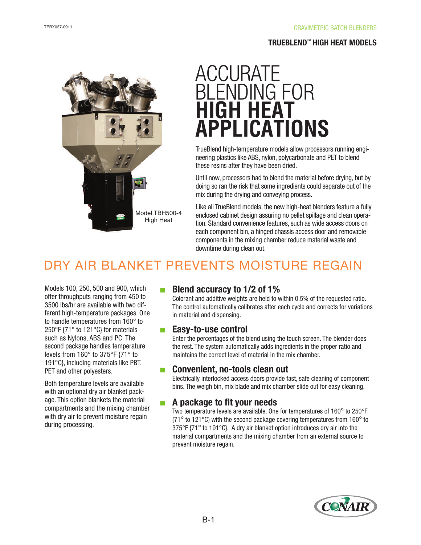# **TRUEBLEND™ HIGH HEAT MODELS**



# ACCURATE BLENDING FOR **HIGH HEAT APPLICATIONS**

TrueBlend high-temperature models allow processors running engineering plastics like ABS, nylon, polycarbonate and PET to blend these resins after they have been dried.

Until now, processors had to blend the material before drying, but by doing so ran the risk that some ingredients could separate out of the mix during the drying and conveying process.

Like all TrueBlend models, the new high-heat blenders feature a fully enclosed cabinet design assuring no pellet spillage and clean operation. Standard convenience features, such as wide access doors on each component bin, a hinged chassis access door and removable components in the mixing chamber reduce material waste and downtime during clean out.

# DRY AIR BLANKET PREVENTS MOISTURE REGAIN

Models 100, 250, 500 and 900, which offer throughputs ranging from 450 to 3500 lbs/hr are available with two different high-temperature packages. One to handle temperatures from 160° to 250°F {71° to 121°C} for materials such as Nylons, ABS and PC. The second package handles temperature levels from 160° to 375°F {71° to 191°C}, including materials like PBT, PET and other polyesters.

Both temperature levels are available with an optional dry air blanket package. This option blankets the material compartments and the mixing chamber with dry air to prevent moisture regain during processing.

# ■ **Blend accuracy to 1/2 of 1%**

Colorant and additive weights are held to within 0.5% of the requested ratio. The control automatically calibrates after each cycle and corrects for variations in material and dispensing.

# ■ **Easy-to-use control**

Enter the percentages of the blend using the touch screen. The blender does the rest. The system automatically adds ingredients in the proper ratio and maintains the correct level of material in the mix chamber.

# ■ **Convenient, no-tools clean out**

Electrically interlocked access doors provide fast, safe cleaning of component bins. The weigh bin, mix blade and mix chamber slide out for easy cleaning.

# ■ **A package to fit your needs**

Two temperature levels are available. One for temperatures of 160° to 250°F {71° to 121°C} with the second package covering temperatures from 160° to 375°F {71° to 191°C}. A dry air blanket option introduces dry air into the material compartments and the mixing chamber from an external source to prevent moisture regain.

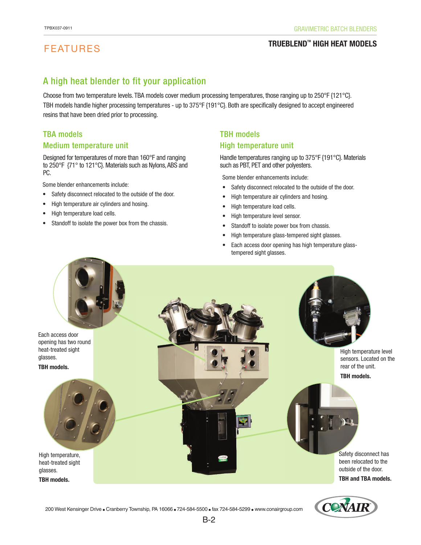# FEATURES

### **TRUEBLENDTM HIGH HEAT MODELS**

# A high heat blender to fit your application

Choose from two temperature levels. TBA models cover medium processing temperatures, those ranging up to 250°F {121°C}. TBH models handle higher processing temperatures - up to 375°F {191°C}. Both are specifically designed to accept engineered resins that have been dried prior to processing.

# TBA models Medium temperature unit

Designed for temperatures of more than 160°F and ranging to 250°F {71° to 121°C}. Materials such as Nylons, ABS and PC.

Some blender enhancements include:

- Safety disconnect relocated to the outside of the door.
- High temperature air cylinders and hosing.
- High temperature load cells.
- Standoff to isolate the power box from the chassis.

# TBH models High temperature unit

Handle temperatures ranging up to 375°F {191°C}. Materials such as PBT, PET and other polyesters.

- Safety disconnect relocated to the outside of the door.
- High temperature air cylinders and hosing.
- High temperature load cells.
- High temperature level sensor.
- Standoff to isolate power box from chassis.
- High temperature glass-tempered sight glasses.
- Each access door opening has high temperature glasstempered sight glasses.



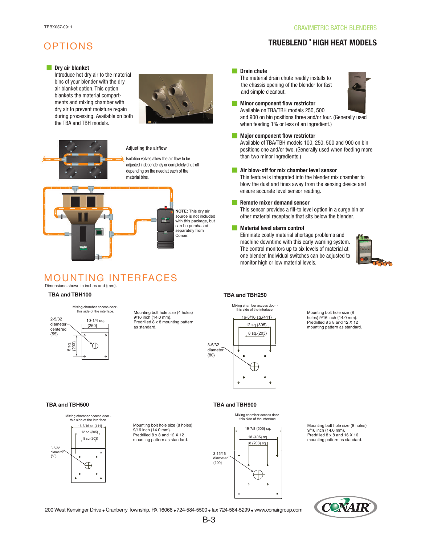## **TRUEBLENDTM HIGH HEAT MODELS**

# OPTIONS

### ■ **Dry air blanket**

 Introduce hot dry air to the material bins of your blender with the dry air blanket option. This option blankets the material compart ments and mixing chamber with dry air to prevent moisture regain during processing. Available on both the TBA and TBH models.



### Adjusting the airflow

Isolation valves allow the air flow to be adjusted independently or completely shut-off depending on the need at each of the material bins.



### Dimensions shown in inches and {mm}. MOUNTING INTERFACES



Mounting bolt hole size (4 holes) 9/16 inch {14.0 mm}. Predrilled 8 x 8 mounting pattern as standard.

### ■ **Drain chute**

The material drain chute readily installs to the chassis opening of the blender for fast and simple cleanout.



### **Minor component flow restrictor** Available on TBA/TBH models 250, 500

 and 900 on bin positions three and/or four. (Generally used when feeding 1% or less of an ingredient.)

### ■ **Major component flow restrictor**

 Available of TBA/TBH models 100, 250, 500 and 900 on bin positions one and/or two. (Generally used when feeding more than two minor ingredients.)

### ■ **Air blow-off for mix chamber level sensor**

 This feature is integrated into the blender mix chamber to blow the dust and fines away from the sensing device and ensure accurate level sensor reading.

### ■ **Remote mixer demand sensor**

 This sensor provides a fill-to level option in a surge bin or other material receptacle that sits below the blender.

### ■ **Material level alarm control**

 Eliminate costly material shortage problems and machine downtime with this early warning system. The control monitors up to six levels of material at one blender. Individual switches can be adjusted to monitor high or low material levels.



### **TBA and TBH100 TBA and TBH250**

Mixing chamber access door this side of the interface.



Mounting bolt hole size (8 holes) 9/16 inch {14.0 mm}. Predrilled 8 x 8 and 12 X 12 mounting pattern as standard.

### **TBA and TBH500 TBA and TBH900**



Mounting bolt hole size (8 holes) 9/16 inch {14.0 mm}. Predrilled 8 x 8 and 12 X 12



Mounting bolt hole size (8 holes) 9/16 inch {14.0 mm}. Predrilled 8 x 8 and 16 X 16 mounting pattern as standard.



200 West Kensinger Drive ● Cranberry Township, PA 16066 ● 724-584-5500 ● fax 724-584-5299 ● www.conairgroup.com